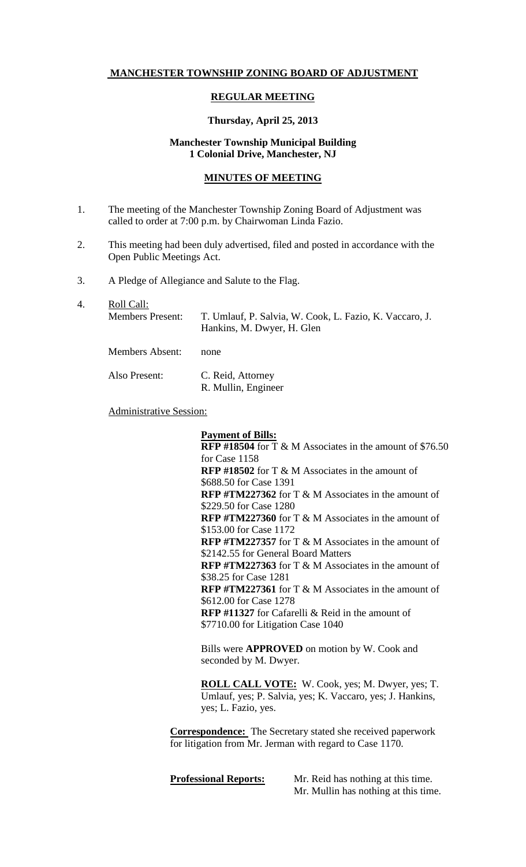# **MANCHESTER TOWNSHIP ZONING BOARD OF ADJUSTMENT**

## **REGULAR MEETING**

#### **Thursday, April 25, 2013**

# **Manchester Township Municipal Building 1 Colonial Drive, Manchester, NJ**

#### **MINUTES OF MEETING**

- 1. The meeting of the Manchester Township Zoning Board of Adjustment was called to order at 7:00 p.m. by Chairwoman Linda Fazio.
- 2. This meeting had been duly advertised, filed and posted in accordance with the Open Public Meetings Act.
- 3. A Pledge of Allegiance and Salute to the Flag.
- 4. Roll Call: Members Present: T. Umlauf, P. Salvia, W. Cook, L. Fazio, K. Vaccaro, J. Hankins, M. Dwyer, H. Glen Members Absent: none Also Present: C. Reid, Attorney R. Mullin, Engineer

Administrative Session:

**Payment of Bills:**

**RFP #18504** for T & M Associates in the amount of \$76.50 for Case 1158 **RFP #18502** for T & M Associates in the amount of \$688.50 for Case 1391 **RFP #TM227362** for T & M Associates in the amount of \$229.50 for Case 1280 **RFP #TM227360** for T & M Associates in the amount of \$153.00 for Case 1172 **RFP #TM227357** for T & M Associates in the amount of \$2142.55 for General Board Matters **RFP #TM227363** for T & M Associates in the amount of \$38.25 for Case 1281 **RFP #TM227361** for T & M Associates in the amount of \$612.00 for Case 1278 **RFP #11327** for Cafarelli & Reid in the amount of \$7710.00 for Litigation Case 1040

Bills were **APPROVED** on motion by W. Cook and seconded by M. Dwyer.

**ROLL CALL VOTE:** W. Cook, yes; M. Dwyer, yes; T. Umlauf, yes; P. Salvia, yes; K. Vaccaro, yes; J. Hankins, yes; L. Fazio, yes.

**Correspondence:** The Secretary stated she received paperwork for litigation from Mr. Jerman with regard to Case 1170.

**Professional Reports:** Mr. Reid has nothing at this time. Mr. Mullin has nothing at this time.